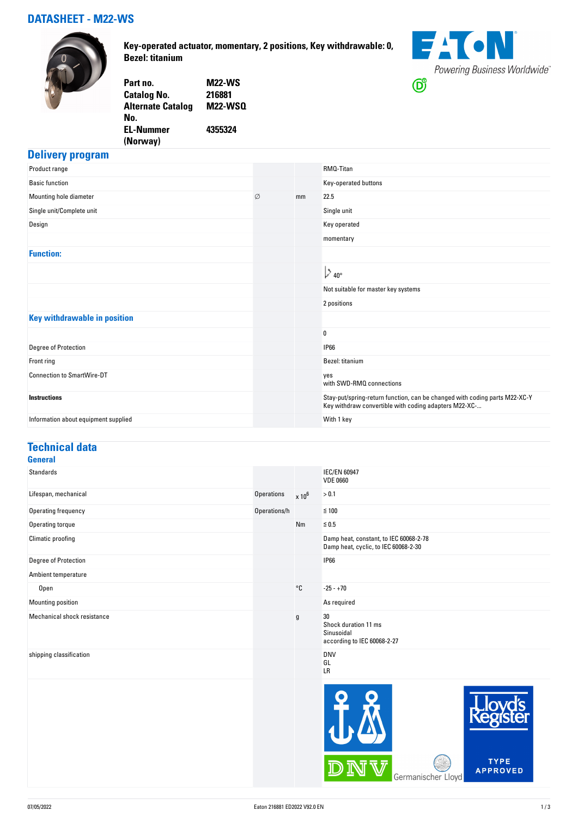## **DATASHEET - M22-WS**



**Key-operated actuator, momentary, 2 positions, Key withdrawable: 0, Bezel: titanium**



| Part no.                 | <b>M22-WS</b>  |
|--------------------------|----------------|
| Catalog No.              | 216881         |
| <b>Alternate Catalog</b> | <b>M22-WSQ</b> |
| No.                      |                |
| EL-Nummer                | 4355324        |
| (Norway)                 |                |
|                          |                |

### **Delivery program**

| Product range                        |   |    | RMQ-Titan                                                                                                                           |
|--------------------------------------|---|----|-------------------------------------------------------------------------------------------------------------------------------------|
| <b>Basic function</b>                |   |    | Key-operated buttons                                                                                                                |
| Mounting hole diameter               | Ø | mm | 22.5                                                                                                                                |
| Single unit/Complete unit            |   |    | Single unit                                                                                                                         |
| Design                               |   |    | Key operated                                                                                                                        |
|                                      |   |    | momentary                                                                                                                           |
| <b>Function:</b>                     |   |    |                                                                                                                                     |
|                                      |   |    | $\mathbf{L}_{40^{\circ}}$                                                                                                           |
|                                      |   |    | Not suitable for master key systems                                                                                                 |
|                                      |   |    | 2 positions                                                                                                                         |
| <b>Key withdrawable in position</b>  |   |    |                                                                                                                                     |
|                                      |   |    | 0                                                                                                                                   |
| Degree of Protection                 |   |    | <b>IP66</b>                                                                                                                         |
| Front ring                           |   |    | Bezel: titanium                                                                                                                     |
| <b>Connection to SmartWire-DT</b>    |   |    | yes<br>with SWD-RMQ connections                                                                                                     |
| <b>Instructions</b>                  |   |    | Stay-put/spring-return function, can be changed with coding parts M22-XC-Y<br>Key withdraw convertible with coding adapters M22-XC- |
| Information about equipment supplied |   |    | With 1 key                                                                                                                          |

#### **Technical data General**

| Standards                   |              |               | <b>IEC/EN 60947</b><br><b>VDE 0660</b>                                         |  |
|-----------------------------|--------------|---------------|--------------------------------------------------------------------------------|--|
| Lifespan, mechanical        | Operations   | $\times 10^6$ | > 0.1                                                                          |  |
| Operating frequency         | Operations/h |               | $≤ 100$                                                                        |  |
| Operating torque            |              | Nm            | $≤ 0.5$                                                                        |  |
| Climatic proofing           |              |               | Damp heat, constant, to IEC 60068-2-78<br>Damp heat, cyclic, to IEC 60068-2-30 |  |
| Degree of Protection        |              |               | <b>IP66</b>                                                                    |  |
| Ambient temperature         |              |               |                                                                                |  |
| Open                        |              | $^{\circ}$ C  | $-25 - +70$                                                                    |  |
| Mounting position           |              |               | As required                                                                    |  |
| Mechanical shock resistance |              | g             | 30<br>Shock duration 11 ms<br>Sinusoidal<br>according to IEC 60068-2-27        |  |
| shipping classification     |              |               | <b>DNV</b><br>GL<br>LR                                                         |  |
|                             |              |               |                                                                                |  |

 $\overline{\phantom{a}}$ 

 $\bar{\mathbb{V}}$ 

Germanischer Lloyd

DN

TYPE<br>APPROVED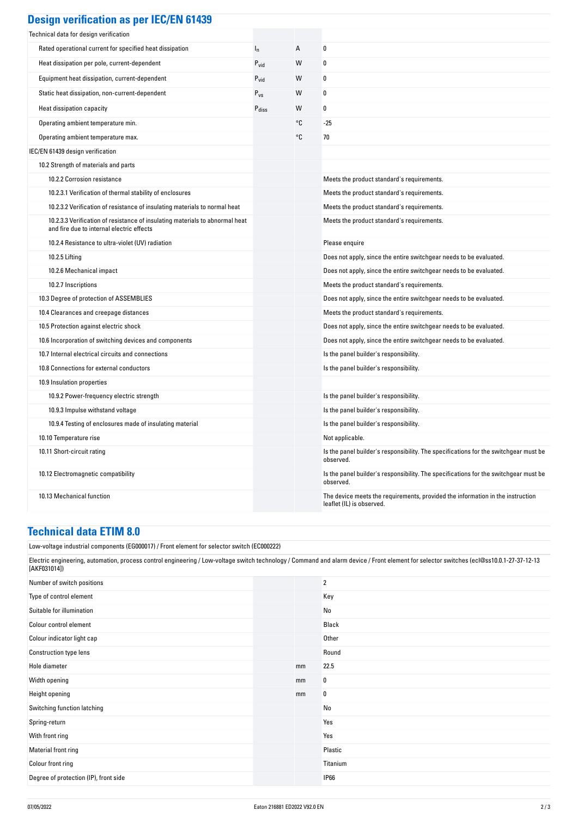| <b>Design verification as per IEC/EN 61439</b> |  |  |
|------------------------------------------------|--|--|
|                                                |  |  |

| Technical data for design verification                                                                                    |                   |    |                                                                                                             |
|---------------------------------------------------------------------------------------------------------------------------|-------------------|----|-------------------------------------------------------------------------------------------------------------|
| Rated operational current for specified heat dissipation                                                                  | $I_{n}$           | А  | $\pmb{0}$                                                                                                   |
| Heat dissipation per pole, current-dependent                                                                              | $P_{vid}$         | W  | 0                                                                                                           |
| Equipment heat dissipation, current-dependent                                                                             | $P_{\text{vid}}$  | W  | 0                                                                                                           |
| Static heat dissipation, non-current-dependent                                                                            | $P_{\nu s}$       | W  | 0                                                                                                           |
| Heat dissipation capacity                                                                                                 | $P_{\text{diss}}$ | W  | 0                                                                                                           |
| Operating ambient temperature min.                                                                                        |                   | ۰c | -25                                                                                                         |
| Operating ambient temperature max.                                                                                        |                   | ۰c | 70                                                                                                          |
| IEC/EN 61439 design verification                                                                                          |                   |    |                                                                                                             |
| 10.2 Strength of materials and parts                                                                                      |                   |    |                                                                                                             |
| 10.2.2 Corrosion resistance                                                                                               |                   |    | Meets the product standard's requirements.                                                                  |
| 10.2.3.1 Verification of thermal stability of enclosures                                                                  |                   |    | Meets the product standard's requirements.                                                                  |
| 10.2.3.2 Verification of resistance of insulating materials to normal heat                                                |                   |    | Meets the product standard's requirements.                                                                  |
| 10.2.3.3 Verification of resistance of insulating materials to abnormal heat<br>and fire due to internal electric effects |                   |    | Meets the product standard's requirements.                                                                  |
| 10.2.4 Resistance to ultra-violet (UV) radiation                                                                          |                   |    | Please enquire                                                                                              |
| 10.2.5 Lifting                                                                                                            |                   |    | Does not apply, since the entire switchgear needs to be evaluated.                                          |
| 10.2.6 Mechanical impact                                                                                                  |                   |    | Does not apply, since the entire switchgear needs to be evaluated.                                          |
| 10.2.7 Inscriptions                                                                                                       |                   |    | Meets the product standard's requirements.                                                                  |
| 10.3 Degree of protection of ASSEMBLIES                                                                                   |                   |    | Does not apply, since the entire switchgear needs to be evaluated.                                          |
| 10.4 Clearances and creepage distances                                                                                    |                   |    | Meets the product standard's requirements.                                                                  |
| 10.5 Protection against electric shock                                                                                    |                   |    | Does not apply, since the entire switchgear needs to be evaluated.                                          |
| 10.6 Incorporation of switching devices and components                                                                    |                   |    | Does not apply, since the entire switchgear needs to be evaluated.                                          |
| 10.7 Internal electrical circuits and connections                                                                         |                   |    | Is the panel builder's responsibility.                                                                      |
| 10.8 Connections for external conductors                                                                                  |                   |    | Is the panel builder's responsibility.                                                                      |
| 10.9 Insulation properties                                                                                                |                   |    |                                                                                                             |
| 10.9.2 Power-frequency electric strength                                                                                  |                   |    | Is the panel builder's responsibility.                                                                      |
| 10.9.3 Impulse withstand voltage                                                                                          |                   |    | Is the panel builder's responsibility.                                                                      |
| 10.9.4 Testing of enclosures made of insulating material                                                                  |                   |    | Is the panel builder's responsibility.                                                                      |
| 10.10 Temperature rise                                                                                                    |                   |    | Not applicable.                                                                                             |
| 10.11 Short-circuit rating                                                                                                |                   |    | Is the panel builder's responsibility. The specifications for the switchgear must be<br>observed.           |
| 10.12 Electromagnetic compatibility                                                                                       |                   |    | Is the panel builder's responsibility. The specifications for the switchgear must be<br>observed.           |
| 10.13 Mechanical function                                                                                                 |                   |    | The device meets the requirements, provided the information in the instruction<br>leaflet (IL) is observed. |

#### **Technical data ETIM 8.0**

Low-voltage industrial components (EG000017) / Front element for selector switch (EC000222)

**Colour indicator light cap** Other

Electric engineering, automation, process control engineering / Low-voltage switch technology / Command and alarm device / Front element for selector switches (ecl@ss10.0.1-27-37-12-13 [AKF031014]) Number of switch positions 2 Type of control element Key Suitable for illumination No was a statement of the United States of the No was a statement of No Wo Colour control element Black